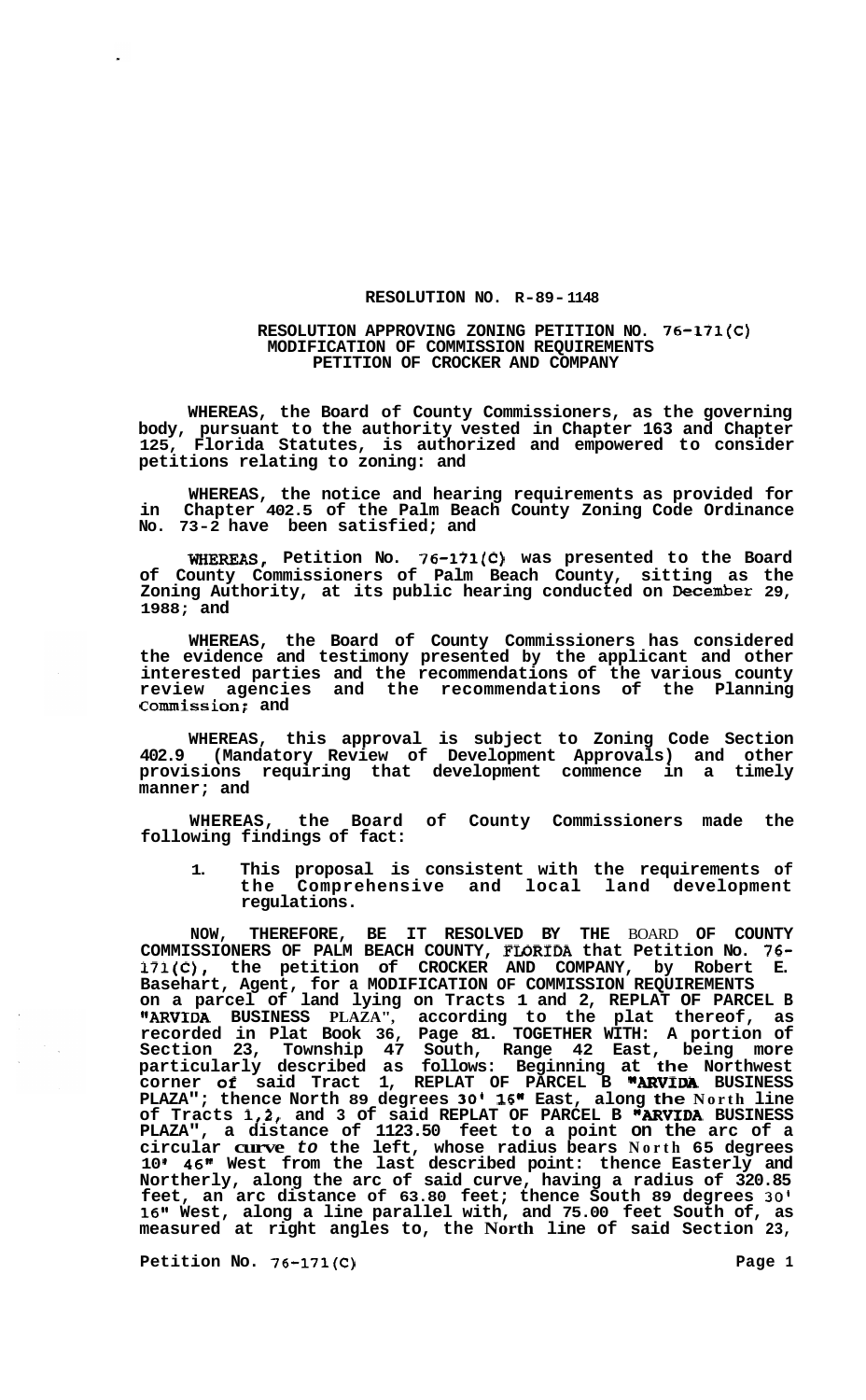## **RESOLUTION NO. R-89- 1148**

## **RESOLUTION APPROVING ZONING PETITION NO. 76-171(C) MODIFICATION OF COMMISSION REQUIREMENTS PETITION OF CROCKER AND COMPANY**

**WHEREAS, the Board of County Commissioners, as the governing body, pursuant to the authority vested in Chapter 163 and Chapter 125, Florida Statutes, is authorized and empowered to consider petitions relating to zoning: and** 

**WHEREAS, the notice and hearing requirements as provided for in Chapter 402.5 of the Palm Beach County Zoning Code Ordinance No. 73-2 have been satisfied; and** 

**WHEREAS, Petition No. 76-171(C) was presented to the Board of County Commissioners of Palm Beach County, sitting as the Zoning Authority, at its public hearing conducted on December 29, 1988; and** 

**WHEREAS, the Board of County Commissioners has considered the evidence and testimony presented by the applicant and other interested parties and the recommendations of the various county review agencies and the recommendations of the Planning Commission: and** 

**WHEREAS, this approval is subject to Zoning Code Section 402.9 (Mandatory Review of Development Approvals) and other provisions requiring that development commence in a timely manner; and** 

**WHEREAS, the Board of County Commissioners made the following findings of fact:** 

**1. This proposal is consistent with the requirements of**  the Comprehensive and local **regulations.** 

**NOW, THEREFORE, BE IT RESOLVED BY THE** BOARD **OF COUNTY COMMISSIONERS OF PALM BEACH COUNTY, FWRIDA that Petition No.** *76-*  **171(C), the petition of CROCKER AND COMPANY, by Robert E. Basehart, Agent, for a MODIFICATION OF COMMISSION REQUIREMENTS on a parcel of land lying on Tracts 1 and 2, REPLAT OF PARCEL B "ARVIDA BUSINESS PLAZA", according to the plat thereof, as recorded in Plat Book 36, Page 81. TOGETHER WITH: A portion of Section 23, Township 47 South, Range 42 East, being more particularly described as follows: Beginning at the Northwest corner of said Tract 1, REPLAT OF PARCEL B "ARVIRA BUSINESS PLAZA"; thence North 89 degrees 30' 16" East, along the North line of Tracts 1,2, and 3 of said REPLAT OF PARCEL B "ARVIDA BUSINESS PLAZA", a distance of 1123.50 feet to a point on the arc of a circular curve** *to* **the left, whose radius bears North 65 degrees 10 I 46" West from the last described point: thence Easterly and Northerly, along the arc of said curve, having a radius of 320.85 feet, an arc distance of 63.80 feet; thence South 89 degrees 30' 16" West, along a line parallel with, and 75.00 feet South of, as measured at right angles to, the North line of said Section 23,** 

Petition No. 76-171(C) **Page 1 Page 1**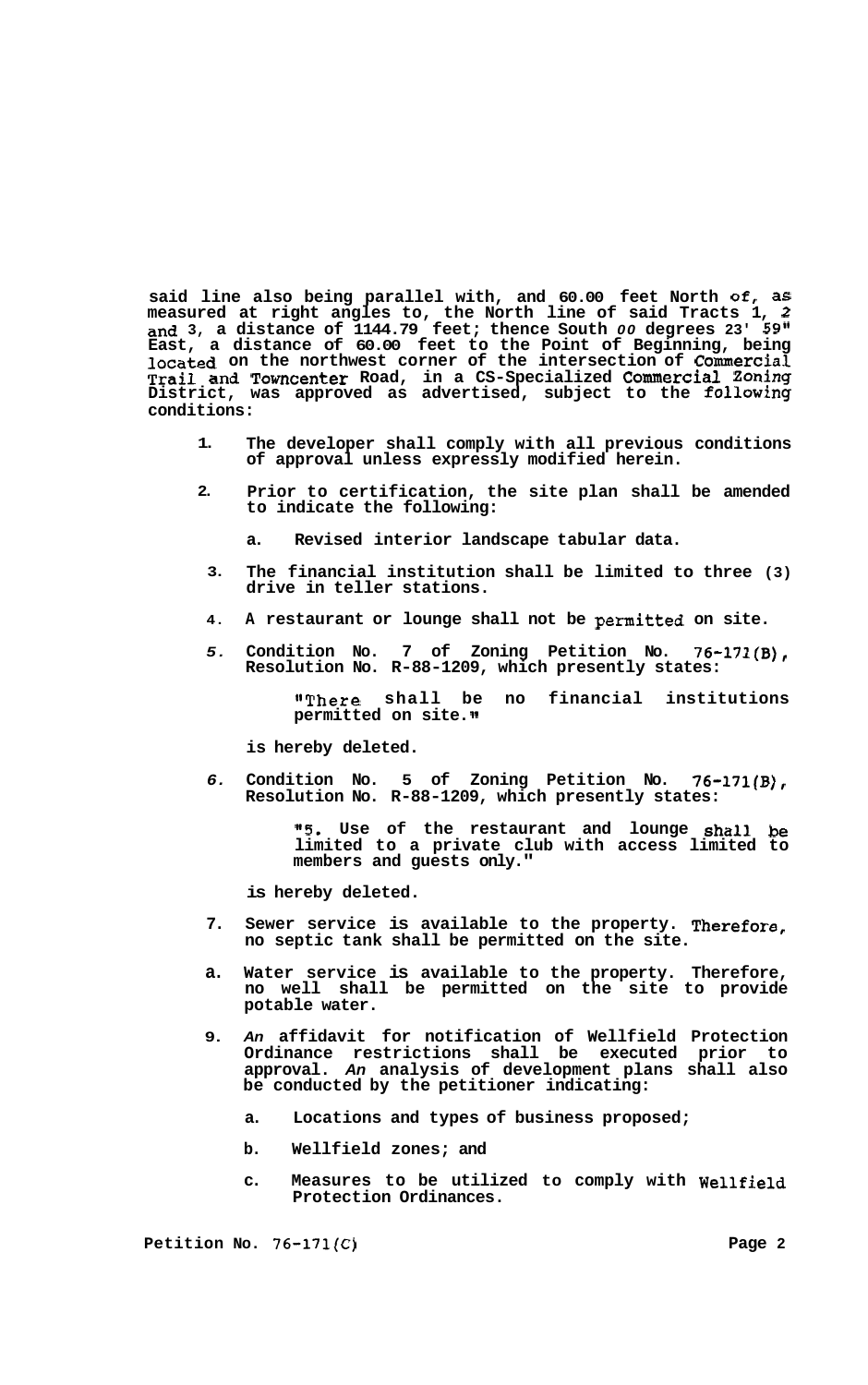**said line also being parallel with, and 60.00 feet North Of, as measured at right angles to, the North line of said Tracts 1, 2 and 3, a distance of 1144.79 feet; thence South** *00* **degrees 23' 59" East, a distance of 60.00 feet to the Point of Beginning, being located on the northwest corner of the intersection of Commercial Trail and Towncenter Road, in a CS-Specialized COmInerCial Zoning District, was approved as advertised, subject to the following conditions:** 

- **1. The developer shall comply with all previous conditions of approval unless expressly modified herein.**
- **2. Prior to certification, the site plan shall be amended to indicate the following:** 
	- **a. Revised interior landscape tabular data.**
	- **3. The financial institution shall be limited to three (3) drive in teller stations.**
	- **4. A restaurant or lounge shall not be permitted on site.**
	- *5.*  **Condition No. 7 of Zoning Petition No. 76-171(B), Resolution No. R-88-1209, which presently states:**

**"There shall be no financial institutions permitted on site.** 

**is hereby deleted.** 

*6.*  **Condition No. 5 of Zoning Petition No. 76-171(B), Resolution No. R-88-1209, which presently states:** 

> *"5.* **Use of the restaurant and lounge shall be limited to a private club with access limited to members and guests only."**

**is hereby deleted.** 

- **7. Sewer service is available to the property. Therefore, no septic tank shall be permitted on the site.**
- **a. Water service is available to the property. Therefore, no well shall be permitted on the site to provide potable water.**
- **9.**  *An* **affidavit for notification of Wellfield Protection Ordinance restrictions shall be executed prior to approval.** *An* **analysis of development plans shall also be conducted by the petitioner indicating:** 
	- **a. Locations and types of business proposed;**
	- **b. Wellfield zones; and**
	- **c. Measures to be utilized to comply with Wellfield Protection Ordinances.**